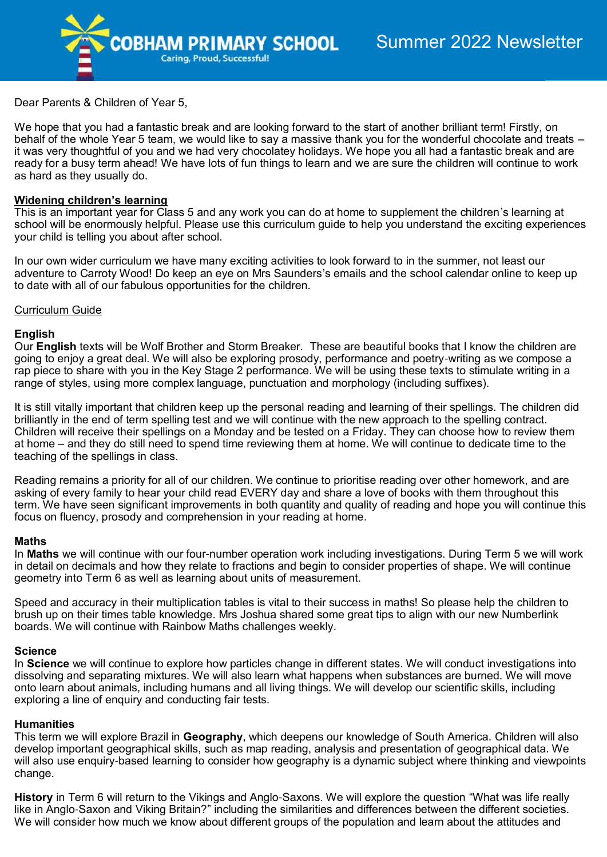

Dear Parents & Children of Year 5,

We hope that you had a fantastic break and are looking forward to the start of another brilliant term! Firstly, on behalf of the whole Year 5 team, we would like to say a massive thank you for the wonderful chocolate and treats – it was very thoughtful of you and we had very chocolatey holidays. We hope you all had a fantastic break and are ready for a busy term ahead! We have lots of fun things to learn and we are sure the children will continue to work as hard as they usually do.

# **Widening children's learning**

This is an important year for Class 5 and any work you can do at home to supplement the children's learning at school will be enormously helpful. Please use this curriculum guide to help you understand the exciting experiences your child is telling you about after school.

In our own wider curriculum we have many exciting activities to look forward to in the summer, not least our adventure to Carroty Wood! Do keep an eye on Mrs Saunders's emails and the school calendar online to keep up to date with all of our fabulous opportunities for the children.

## Curriculum Guide

## **English**

Our **English** texts will be Wolf Brother and Storm Breaker. These are beautiful books that I know the children are going to enjoy a great deal. We will also be exploring prosody, performance and poetry-writing as we compose a rap piece to share with you in the Key Stage 2 performance. We will be using these texts to stimulate writing in a range of styles, using more complex language, punctuation and morphology (including suffixes).

It is still vitally important that children keep up the personal reading and learning of their spellings. The children did brilliantly in the end of term spelling test and we will continue with the new approach to the spelling contract. Children will receive their spellings on a Monday and be tested on a Friday. They can choose how to review them at home – and they do still need to spend time reviewing them at home. We will continue to dedicate time to the teaching of the spellings in class.

Reading remains a priority for all of our children. We continue to prioritise reading over other homework, and are asking of every family to hear your child read EVERY day and share a love of books with them throughout this term. We have seen significant improvements in both quantity and quality of reading and hope you will continue this focus on fluency, prosody and comprehension in your reading at home.

### **Maths**

In **Maths** we will continue with our four-number operation work including investigations. During Term 5 we will work in detail on decimals and how they relate to fractions and begin to consider properties of shape. We will continue geometry into Term 6 as well as learning about units of measurement.

Speed and accuracy in their multiplication tables is vital to their success in maths! So please help the children to brush up on their times table knowledge. Mrs Joshua shared some great tips to align with our new Numberlink boards. We will continue with Rainbow Maths challenges weekly.

### **Science**

In **Science** we will continue to explore how particles change in different states. We will conduct investigations into dissolving and separating mixtures. We will also learn what happens when substances are burned. We will move onto learn about animals, including humans and all living things. We will develop our scientific skills, including exploring a line of enquiry and conducting fair tests.

### **Humanities**

This term we will explore Brazil in **Geography**, which deepens our knowledge of South America. Children will also develop important geographical skills, such as map reading, analysis and presentation of geographical data. We will also use enquiry-based learning to consider how geography is a dynamic subject where thinking and viewpoints change.

**History** in Term 6 will return to the Vikings and Anglo-Saxons. We will explore the question "What was life really like in Anglo-Saxon and Viking Britain?" including the similarities and differences between the different societies. We will consider how much we know about different groups of the population and learn about the attitudes and